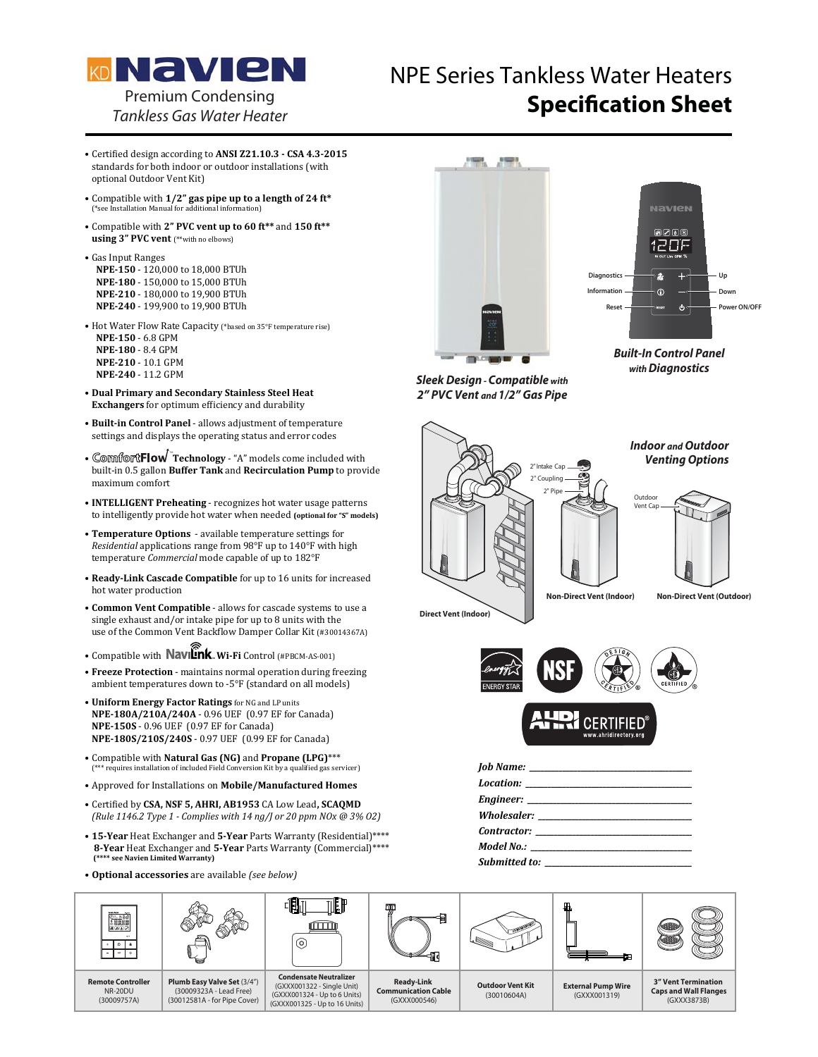

## NPE Series Tankless Water Heaters **Specification Sheet** Premium Condensing

- · Certified design according to ANSI Z21.10.3 CSA 4.3-2015 standards for both indoor or outdoor installations (with optional Outdoor Vent Kit)
- Compatible with  $1/2$ " gas pipe up to a length of 24 ft\*  $\frac{1}{2}$
- Compatible with 2" PVC vent up to 60 ft\*\* and 150 ft\*\* **using 3" PVC vent** (\*\*with no elbows)
- · Gas Input Ranges NPE-150 - 120,000 to 18,000 BTUh NPE-180 - 150,000 to 15,000 BTUh **NPE-210 - 180,000 to 19,900 BTUh** NPE-240 - 199,900 to 19,900 BTUh
- Hot Water Flow Rate Capacity (\*based on 35°F temperature rise) **NPE-150 - 6.8 GPM NPE-180 - 8.4 GPM NPE-210 - 10.1 GPM NPE-240 - 11.2 GPM**
- -**Dual Primary and Secondary Stainless Steel Heat Exchangers** for optimum efficiency and durability
- **· Built-in Control Panel** allows adjustment of temperature settings and displays the operating status and error codes
- Comfort Flow Technology "A" models come included with built-in 0.5 gallon Buffer Tank and Recirculation Pump to provide maximum comfort
- **INTELLIGENT Preheating** recognizes hot water usage patterns to intelligently provide hot water when needed (optional for "S" models)
- Temperature Options available temperature settings for Residential applications range from 98°F up to 140°F with high temperature Commercial mode capable of up to 182°F
- Ready-Link Cascade Compatible for up to 16 units for increased hot water production
- Common Vent Compatible allows for cascade systems to use a single exhaust and/or intake pipe for up to 8 units with the use of the Common Vent Backflow Damper Collar Kit (#30014367A)
- · Compatible with **Navilink** Wi-Fi Control (#PBCM-AS-001)
- Freeze Protection maintains normal operation during freezing ambient temperatures down to -5°F (standard on all models)
- Uniform Energy Factor Ratings for NG and LP units **NPE-180A/210A/240A - 0.96 UEF (0.97 EF for Canada) NPE-150S** - 0.96 UEF (0.97 EF for Canada) **NPE-180S/210S/240S - 0.97 UEF (0.99 EF for Canada)**
- Compatible with **Natural Gas (NG)** and **Propane (LPG)**\*\*\*<br>
(\*\*\* requires installation of included Field Conversion Kit by a qualified gas set <sup>\*\*\*</sup> requires installation of included Field Conversion Kit by a qualified gas servicer)
- · Approved for Installations on Mobile/Manufactured Homes
- $\bullet$  Certified by CSA, NSF 5, AHRI, AB1953 CA Low Lead, SCAQMD  *(Rule 1146.2 Type 1 - Complies with 14 ng/J or 20 ppm NOx @ 3% O2)*
- 15-Year Heat Exchanger and 5-Year Parts Warranty (Residential)\*\*\*\* 8-Year Heat Exchanger and 5-Year Parts Warranty (Commercial)\*\*\*\*  **(\*\*\*\* see Navien Limited Warranty)**
- Optional accessories are available (see below)





*Built-In Control Panel with Diagnostics*

*Sleek Design - Compatible with Design Compatible ith2" PVC Vent and 1/2" Gas Pipe*

**Direct Vent (Indoor)**

2" Intake Cap 2" Coupling 2" Pin Outdoor Vent Cap *Indoor and Outdoor Venting Options*



**Non-Direct Vent (Indoor) Non-Direct Vent (Outdoor)**





| Wholesaler: _________________________ |
|---------------------------------------|
|                                       |
|                                       |
| <b>Submitted to:</b> Submitted to:    |